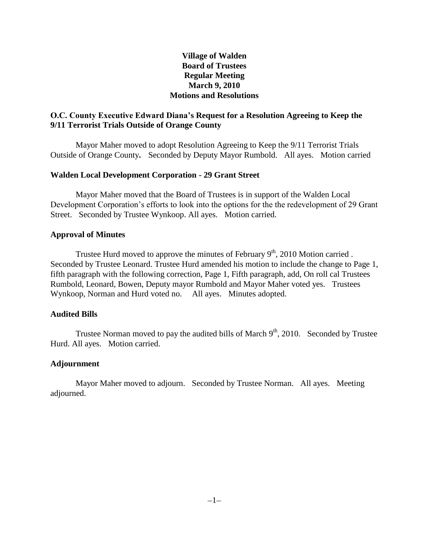# **Village of Walden Board of Trustees Regular Meeting March 9, 2010 Motions and Resolutions**

# **O.C. County Executive Edward Diana's Request for a Resolution Agreeing to Keep the 9/11 Terrorist Trials Outside of Orange County**

Mayor Maher moved to adopt Resolution Agreeing to Keep the 9/11 Terrorist Trials Outside of Orange County**.** Seconded by Deputy Mayor Rumbold. All ayes. Motion carried

## **Walden Local Development Corporation - 29 Grant Street**

Mayor Maher moved that the Board of Trustees is in support of the Walden Local Development Corporation's efforts to look into the options for the the redevelopment of 29 Grant Street. Seconded by Trustee Wynkoop. All ayes. Motion carried.

### **Approval of Minutes**

Trustee Hurd moved to approve the minutes of February  $9<sup>th</sup>$ , 2010 Motion carried . Seconded by Trustee Leonard. Trustee Hurd amended his motion to include the change to Page 1, fifth paragraph with the following correction, Page 1, Fifth paragraph, add, On roll cal Trustees Rumbold, Leonard, Bowen, Deputy mayor Rumbold and Mayor Maher voted yes. Trustees Wynkoop, Norman and Hurd voted no. All ayes. Minutes adopted.

## **Audited Bills**

Trustee Norman moved to pay the audited bills of March  $9<sup>th</sup>$ , 2010. Seconded by Trustee Hurd. All ayes. Motion carried.

## **Adjournment**

Mayor Maher moved to adjourn. Seconded by Trustee Norman. All ayes. Meeting adjourned.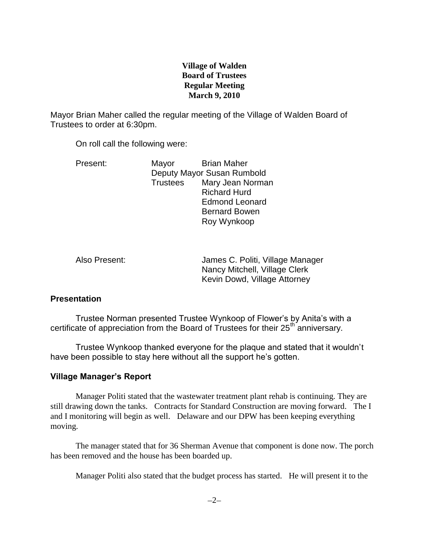# **Village of Walden Board of Trustees Regular Meeting March 9, 2010**

Mayor Brian Maher called the regular meeting of the Village of Walden Board of Trustees to order at 6:30pm.

On roll call the following were:

| Present: | Mayor                      | <b>Brian Maher</b>    |
|----------|----------------------------|-----------------------|
|          | Deputy Mayor Susan Rumbold |                       |
|          | <b>Trustees</b>            | Mary Jean Norman      |
|          |                            | <b>Richard Hurd</b>   |
|          |                            | <b>Edmond Leonard</b> |
|          |                            | <b>Bernard Bowen</b>  |
|          |                            | Roy Wynkoop           |

Also Present: James C. Politi, Village Manager Nancy Mitchell, Village Clerk Kevin Dowd, Village Attorney

# **Presentation**

Trustee Norman presented Trustee Wynkoop of Flower's by Anita's with a certificate of appreciation from the Board of Trustees for their  $25<sup>th</sup>$  anniversary.

Trustee Wynkoop thanked everyone for the plaque and stated that it wouldn't have been possible to stay here without all the support he's gotten.

# **Village Manager's Report**

Manager Politi stated that the wastewater treatment plant rehab is continuing. They are still drawing down the tanks. Contracts for Standard Construction are moving forward. The I and I monitoring will begin as well. Delaware and our DPW has been keeping everything moving.

The manager stated that for 36 Sherman Avenue that component is done now. The porch has been removed and the house has been boarded up.

Manager Politi also stated that the budget process has started. He will present it to the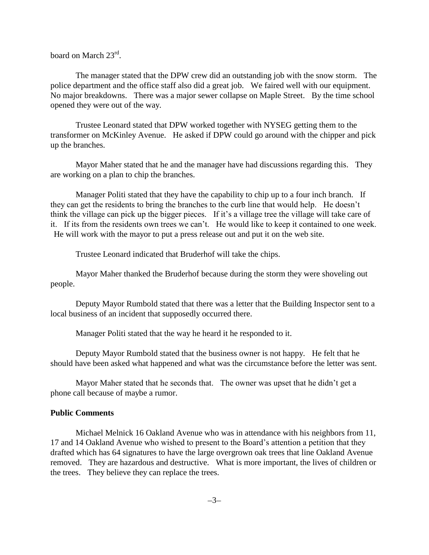board on March 23<sup>rd</sup>.

The manager stated that the DPW crew did an outstanding job with the snow storm. The police department and the office staff also did a great job. We faired well with our equipment. No major breakdowns. There was a major sewer collapse on Maple Street. By the time school opened they were out of the way.

Trustee Leonard stated that DPW worked together with NYSEG getting them to the transformer on McKinley Avenue. He asked if DPW could go around with the chipper and pick up the branches.

Mayor Maher stated that he and the manager have had discussions regarding this. They are working on a plan to chip the branches.

Manager Politi stated that they have the capability to chip up to a four inch branch. If they can get the residents to bring the branches to the curb line that would help. He doesn't think the village can pick up the bigger pieces. If it's a village tree the village will take care of it. If its from the residents own trees we can't. He would like to keep it contained to one week. He will work with the mayor to put a press release out and put it on the web site.

Trustee Leonard indicated that Bruderhof will take the chips.

Mayor Maher thanked the Bruderhof because during the storm they were shoveling out people.

Deputy Mayor Rumbold stated that there was a letter that the Building Inspector sent to a local business of an incident that supposedly occurred there.

Manager Politi stated that the way he heard it he responded to it.

Deputy Mayor Rumbold stated that the business owner is not happy. He felt that he should have been asked what happened and what was the circumstance before the letter was sent.

Mayor Maher stated that he seconds that. The owner was upset that he didn't get a phone call because of maybe a rumor.

### **Public Comments**

Michael Melnick 16 Oakland Avenue who was in attendance with his neighbors from 11, 17 and 14 Oakland Avenue who wished to present to the Board's attention a petition that they drafted which has 64 signatures to have the large overgrown oak trees that line Oakland Avenue removed. They are hazardous and destructive. What is more important, the lives of children or the trees. They believe they can replace the trees.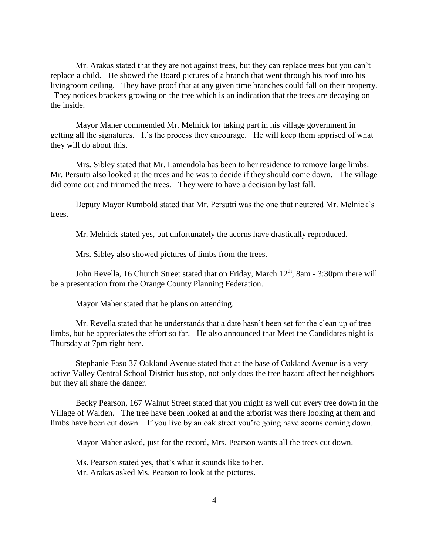Mr. Arakas stated that they are not against trees, but they can replace trees but you can't replace a child. He showed the Board pictures of a branch that went through his roof into his livingroom ceiling. They have proof that at any given time branches could fall on their property. They notices brackets growing on the tree which is an indication that the trees are decaying on the inside.

Mayor Maher commended Mr. Melnick for taking part in his village government in getting all the signatures. It's the process they encourage. He will keep them apprised of what they will do about this.

Mrs. Sibley stated that Mr. Lamendola has been to her residence to remove large limbs. Mr. Persutti also looked at the trees and he was to decide if they should come down. The village did come out and trimmed the trees. They were to have a decision by last fall.

Deputy Mayor Rumbold stated that Mr. Persutti was the one that neutered Mr. Melnick's trees.

Mr. Melnick stated yes, but unfortunately the acorns have drastically reproduced.

Mrs. Sibley also showed pictures of limbs from the trees.

John Revella, 16 Church Street stated that on Friday, March  $12<sup>th</sup>$ , 8am - 3:30pm there will be a presentation from the Orange County Planning Federation.

Mayor Maher stated that he plans on attending.

Mr. Revella stated that he understands that a date hasn't been set for the clean up of tree limbs, but he appreciates the effort so far. He also announced that Meet the Candidates night is Thursday at 7pm right here.

Stephanie Faso 37 Oakland Avenue stated that at the base of Oakland Avenue is a very active Valley Central School District bus stop, not only does the tree hazard affect her neighbors but they all share the danger.

Becky Pearson, 167 Walnut Street stated that you might as well cut every tree down in the Village of Walden. The tree have been looked at and the arborist was there looking at them and limbs have been cut down. If you live by an oak street you're going have acorns coming down.

Mayor Maher asked, just for the record, Mrs. Pearson wants all the trees cut down.

Ms. Pearson stated yes, that's what it sounds like to her. Mr. Arakas asked Ms. Pearson to look at the pictures.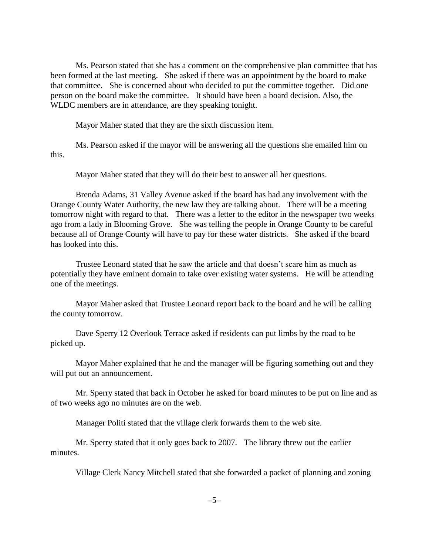Ms. Pearson stated that she has a comment on the comprehensive plan committee that has been formed at the last meeting. She asked if there was an appointment by the board to make that committee. She is concerned about who decided to put the committee together. Did one person on the board make the committee. It should have been a board decision. Also, the WLDC members are in attendance, are they speaking tonight.

Mayor Maher stated that they are the sixth discussion item.

Ms. Pearson asked if the mayor will be answering all the questions she emailed him on this.

Mayor Maher stated that they will do their best to answer all her questions.

Brenda Adams, 31 Valley Avenue asked if the board has had any involvement with the Orange County Water Authority, the new law they are talking about. There will be a meeting tomorrow night with regard to that. There was a letter to the editor in the newspaper two weeks ago from a lady in Blooming Grove. She was telling the people in Orange County to be careful because all of Orange County will have to pay for these water districts. She asked if the board has looked into this.

Trustee Leonard stated that he saw the article and that doesn't scare him as much as potentially they have eminent domain to take over existing water systems. He will be attending one of the meetings.

Mayor Maher asked that Trustee Leonard report back to the board and he will be calling the county tomorrow.

Dave Sperry 12 Overlook Terrace asked if residents can put limbs by the road to be picked up.

Mayor Maher explained that he and the manager will be figuring something out and they will put out an announcement.

Mr. Sperry stated that back in October he asked for board minutes to be put on line and as of two weeks ago no minutes are on the web.

Manager Politi stated that the village clerk forwards them to the web site.

Mr. Sperry stated that it only goes back to 2007. The library threw out the earlier minutes.

Village Clerk Nancy Mitchell stated that she forwarded a packet of planning and zoning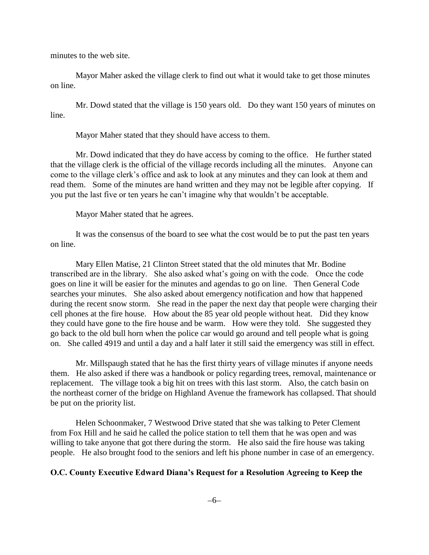minutes to the web site.

Mayor Maher asked the village clerk to find out what it would take to get those minutes on line.

Mr. Dowd stated that the village is 150 years old. Do they want 150 years of minutes on line.

Mayor Maher stated that they should have access to them.

Mr. Dowd indicated that they do have access by coming to the office. He further stated that the village clerk is the official of the village records including all the minutes. Anyone can come to the village clerk's office and ask to look at any minutes and they can look at them and read them. Some of the minutes are hand written and they may not be legible after copying. If you put the last five or ten years he can't imagine why that wouldn't be acceptable.

Mayor Maher stated that he agrees.

It was the consensus of the board to see what the cost would be to put the past ten years on line.

Mary Ellen Matise, 21 Clinton Street stated that the old minutes that Mr. Bodine transcribed are in the library. She also asked what's going on with the code. Once the code goes on line it will be easier for the minutes and agendas to go on line. Then General Code searches your minutes. She also asked about emergency notification and how that happened during the recent snow storm. She read in the paper the next day that people were charging their cell phones at the fire house. How about the 85 year old people without heat. Did they know they could have gone to the fire house and be warm. How were they told. She suggested they go back to the old bull horn when the police car would go around and tell people what is going on. She called 4919 and until a day and a half later it still said the emergency was still in effect.

Mr. Millspaugh stated that he has the first thirty years of village minutes if anyone needs them. He also asked if there was a handbook or policy regarding trees, removal, maintenance or replacement. The village took a big hit on trees with this last storm. Also, the catch basin on the northeast corner of the bridge on Highland Avenue the framework has collapsed. That should be put on the priority list.

Helen Schoonmaker, 7 Westwood Drive stated that she was talking to Peter Clement from Fox Hill and he said he called the police station to tell them that he was open and was willing to take anyone that got there during the storm. He also said the fire house was taking people. He also brought food to the seniors and left his phone number in case of an emergency.

### **O.C. County Executive Edward Diana's Request for a Resolution Agreeing to Keep the**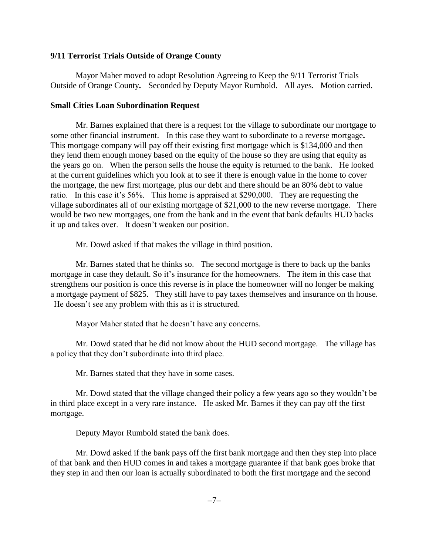## **9/11 Terrorist Trials Outside of Orange County**

Mayor Maher moved to adopt Resolution Agreeing to Keep the 9/11 Terrorist Trials Outside of Orange County**.** Seconded by Deputy Mayor Rumbold. All ayes. Motion carried.

# **Small Cities Loan Subordination Request**

Mr. Barnes explained that there is a request for the village to subordinate our mortgage to some other financial instrument.In this case they want to subordinate to a reverse mortgage**.**  This mortgage company will pay off their existing first mortgage which is \$134,000 and then they lend them enough money based on the equity of the house so they are using that equity as the years go on. When the person sells the house the equity is returned to the bank. He looked at the current guidelines which you look at to see if there is enough value in the home to cover the mortgage, the new first mortgage, plus our debt and there should be an 80% debt to value ratio. In this case it's 56%. This home is appraised at \$290,000. They are requesting the village subordinates all of our existing mortgage of \$21,000 to the new reverse mortgage. There would be two new mortgages, one from the bank and in the event that bank defaults HUD backs it up and takes over. It doesn't weaken our position.

Mr. Dowd asked if that makes the village in third position.

Mr. Barnes stated that he thinks so. The second mortgage is there to back up the banks mortgage in case they default. So it's insurance for the homeowners. The item in this case that strengthens our position is once this reverse is in place the homeowner will no longer be making a mortgage payment of \$825. They still have to pay taxes themselves and insurance on th house. He doesn't see any problem with this as it is structured.

Mayor Maher stated that he doesn't have any concerns.

Mr. Dowd stated that he did not know about the HUD second mortgage. The village has a policy that they don't subordinate into third place.

Mr. Barnes stated that they have in some cases.

Mr. Dowd stated that the village changed their policy a few years ago so they wouldn't be in third place except in a very rare instance. He asked Mr. Barnes if they can pay off the first mortgage.

Deputy Mayor Rumbold stated the bank does.

Mr. Dowd asked if the bank pays off the first bank mortgage and then they step into place of that bank and then HUD comes in and takes a mortgage guarantee if that bank goes broke that they step in and then our loan is actually subordinated to both the first mortgage and the second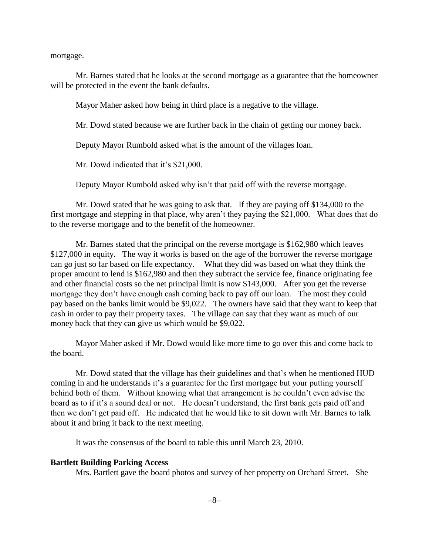mortgage.

Mr. Barnes stated that he looks at the second mortgage as a guarantee that the homeowner will be protected in the event the bank defaults.

Mayor Maher asked how being in third place is a negative to the village.

Mr. Dowd stated because we are further back in the chain of getting our money back.

Deputy Mayor Rumbold asked what is the amount of the villages loan.

Mr. Dowd indicated that it's \$21,000.

Deputy Mayor Rumbold asked why isn't that paid off with the reverse mortgage.

Mr. Dowd stated that he was going to ask that. If they are paying off \$134,000 to the first mortgage and stepping in that place, why aren't they paying the \$21,000. What does that do to the reverse mortgage and to the benefit of the homeowner.

Mr. Barnes stated that the principal on the reverse mortgage is \$162,980 which leaves \$127,000 in equity. The way it works is based on the age of the borrower the reverse mortgage can go just so far based on life expectancy. What they did was based on what they think the proper amount to lend is \$162,980 and then they subtract the service fee, finance originating fee and other financial costs so the net principal limit is now \$143,000. After you get the reverse mortgage they don't have enough cash coming back to pay off our loan. The most they could pay based on the banks limit would be \$9,022. The owners have said that they want to keep that cash in order to pay their property taxes. The village can say that they want as much of our money back that they can give us which would be \$9,022.

Mayor Maher asked if Mr. Dowd would like more time to go over this and come back to the board.

Mr. Dowd stated that the village has their guidelines and that's when he mentioned HUD coming in and he understands it's a guarantee for the first mortgage but your putting yourself behind both of them. Without knowing what that arrangement is he couldn't even advise the board as to if it's a sound deal or not. He doesn't understand, the first bank gets paid off and then we don't get paid off. He indicated that he would like to sit down with Mr. Barnes to talk about it and bring it back to the next meeting.

It was the consensus of the board to table this until March 23, 2010.

#### **Bartlett Building Parking Access**

Mrs. Bartlett gave the board photos and survey of her property on Orchard Street. She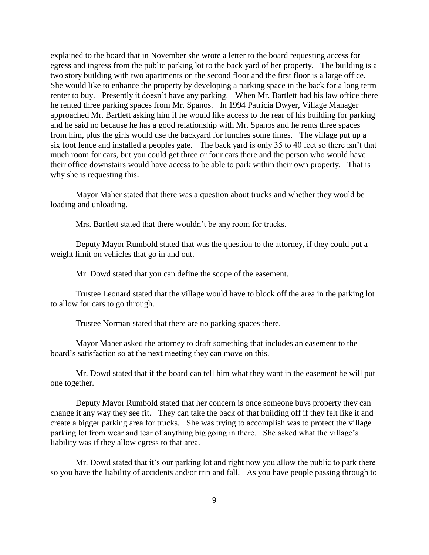explained to the board that in November she wrote a letter to the board requesting access for egress and ingress from the public parking lot to the back yard of her property. The building is a two story building with two apartments on the second floor and the first floor is a large office. She would like to enhance the property by developing a parking space in the back for a long term renter to buy. Presently it doesn't have any parking.When Mr. Bartlett had his law office there he rented three parking spaces from Mr. Spanos. In 1994 Patricia Dwyer, Village Manager approached Mr. Bartlett asking him if he would like access to the rear of his building for parking and he said no because he has a good relationship with Mr. Spanos and he rents three spaces from him, plus the girls would use the backyard for lunches some times. The village put up a six foot fence and installed a peoples gate.The back yard is only 35 to 40 feet so there isn't that much room for cars, but you could get three or four cars there and the person who would have their office downstairs would have access to be able to park within their own property. That is why she is requesting this.

Mayor Maher stated that there was a question about trucks and whether they would be loading and unloading.

Mrs. Bartlett stated that there wouldn't be any room for trucks.

Deputy Mayor Rumbold stated that was the question to the attorney, if they could put a weight limit on vehicles that go in and out.

Mr. Dowd stated that you can define the scope of the easement.

Trustee Leonard stated that the village would have to block off the area in the parking lot to allow for cars to go through.

Trustee Norman stated that there are no parking spaces there.

Mayor Maher asked the attorney to draft something that includes an easement to the board's satisfaction so at the next meeting they can move on this.

Mr. Dowd stated that if the board can tell him what they want in the easement he will put one together.

Deputy Mayor Rumbold stated that her concern is once someone buys property they can change it any way they see fit. They can take the back of that building off if they felt like it and create a bigger parking area for trucks. She was trying to accomplish was to protect the village parking lot from wear and tear of anything big going in there. She asked what the village's liability was if they allow egress to that area.

Mr. Dowd stated that it's our parking lot and right now you allow the public to park there so you have the liability of accidents and/or trip and fall. As you have people passing through to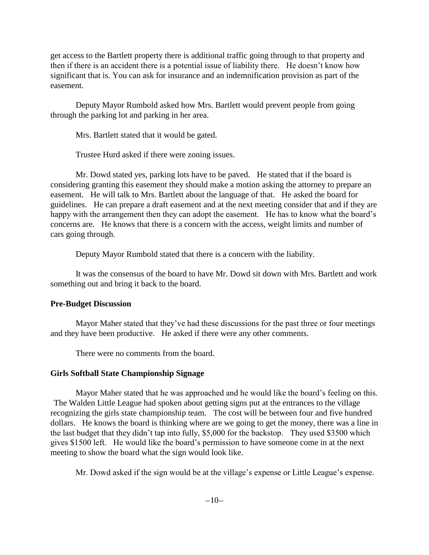get access to the Bartlett property there is additional traffic going through to that property and then if there is an accident there is a potential issue of liability there. He doesn't know how significant that is. You can ask for insurance and an indemnification provision as part of the easement.

Deputy Mayor Rumbold asked how Mrs. Bartlett would prevent people from going through the parking lot and parking in her area.

Mrs. Bartlett stated that it would be gated.

Trustee Hurd asked if there were zoning issues.

Mr. Dowd stated yes, parking lots have to be paved. He stated that if the board is considering granting this easement they should make a motion asking the attorney to prepare an easement. He will talk to Mrs. Bartlett about the language of that. He asked the board for guidelines. He can prepare a draft easement and at the next meeting consider that and if they are happy with the arrangement then they can adopt the easement. He has to know what the board's concerns are. He knows that there is a concern with the access, weight limits and number of cars going through.

Deputy Mayor Rumbold stated that there is a concern with the liability.

It was the consensus of the board to have Mr. Dowd sit down with Mrs. Bartlett and work something out and bring it back to the board.

# **Pre-Budget Discussion**

Mayor Maher stated that they've had these discussions for the past three or four meetings and they have been productive. He asked if there were any other comments.

There were no comments from the board.

# **Girls Softball State Championship Signage**

Mayor Maher stated that he was approached and he would like the board's feeling on this. The Walden Little League had spoken about getting signs put at the entrances to the village recognizing the girls state championship team. The cost will be between four and five hundred dollars. He knows the board is thinking where are we going to get the money, there was a line in the last budget that they didn't tap into fully, \$5,000 for the backstop. They used \$3500 which gives \$1500 left. He would like the board's permission to have someone come in at the next meeting to show the board what the sign would look like.

Mr. Dowd asked if the sign would be at the village's expense or Little League's expense.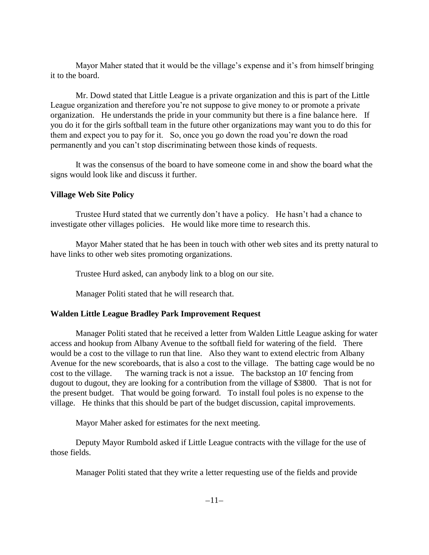Mayor Maher stated that it would be the village's expense and it's from himself bringing it to the board.

Mr. Dowd stated that Little League is a private organization and this is part of the Little League organization and therefore you're not suppose to give money to or promote a private organization. He understands the pride in your community but there is a fine balance here. If you do it for the girls softball team in the future other organizations may want you to do this for them and expect you to pay for it. So, once you go down the road you're down the road permanently and you can't stop discriminating between those kinds of requests.

It was the consensus of the board to have someone come in and show the board what the signs would look like and discuss it further.

## **Village Web Site Policy**

Trustee Hurd stated that we currently don't have a policy. He hasn't had a chance to investigate other villages policies. He would like more time to research this.

Mayor Maher stated that he has been in touch with other web sites and its pretty natural to have links to other web sites promoting organizations.

Trustee Hurd asked, can anybody link to a blog on our site.

Manager Politi stated that he will research that.

## **Walden Little League Bradley Park Improvement Request**

Manager Politi stated that he received a letter from Walden Little League asking for water access and hookup from Albany Avenue to the softball field for watering of the field. There would be a cost to the village to run that line. Also they want to extend electric from Albany Avenue for the new scoreboards, that is also a cost to the village. The batting cage would be no cost to the village. The warning track is not a issue. The backstop an 10' fencing from dugout to dugout, they are looking for a contribution from the village of \$3800. That is not for the present budget. That would be going forward. To install foul poles is no expense to the village. He thinks that this should be part of the budget discussion, capital improvements.

Mayor Maher asked for estimates for the next meeting.

Deputy Mayor Rumbold asked if Little League contracts with the village for the use of those fields.

Manager Politi stated that they write a letter requesting use of the fields and provide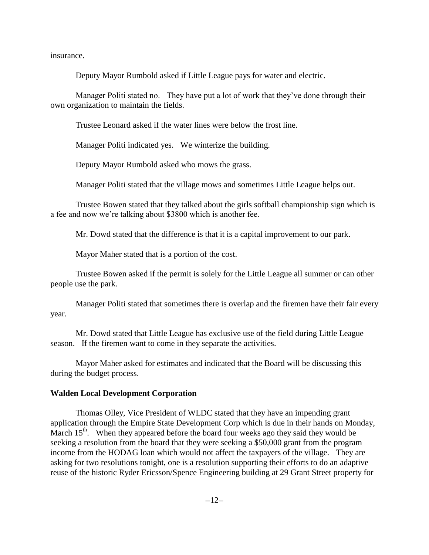insurance.

Deputy Mayor Rumbold asked if Little League pays for water and electric.

Manager Politi stated no. They have put a lot of work that they've done through their own organization to maintain the fields.

Trustee Leonard asked if the water lines were below the frost line.

Manager Politi indicated yes. We winterize the building.

Deputy Mayor Rumbold asked who mows the grass.

Manager Politi stated that the village mows and sometimes Little League helps out.

Trustee Bowen stated that they talked about the girls softball championship sign which is a fee and now we're talking about \$3800 which is another fee.

Mr. Dowd stated that the difference is that it is a capital improvement to our park.

Mayor Maher stated that is a portion of the cost.

Trustee Bowen asked if the permit is solely for the Little League all summer or can other people use the park.

Manager Politi stated that sometimes there is overlap and the firemen have their fair every year.

Mr. Dowd stated that Little League has exclusive use of the field during Little League season. If the firemen want to come in they separate the activities.

Mayor Maher asked for estimates and indicated that the Board will be discussing this during the budget process.

#### **Walden Local Development Corporation**

Thomas Olley, Vice President of WLDC stated that they have an impending grant application through the Empire State Development Corp which is due in their hands on Monday, March  $15<sup>th</sup>$ . When they appeared before the board four weeks ago they said they would be seeking a resolution from the board that they were seeking a \$50,000 grant from the program income from the HODAG loan which would not affect the taxpayers of the village. They are asking for two resolutions tonight, one is a resolution supporting their efforts to do an adaptive reuse of the historic Ryder Ericsson/Spence Engineering building at 29 Grant Street property for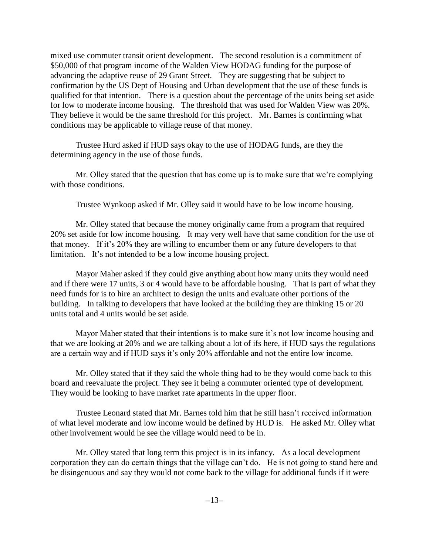mixed use commuter transit orient development. The second resolution is a commitment of \$50,000 of that program income of the Walden View HODAG funding for the purpose of advancing the adaptive reuse of 29 Grant Street. They are suggesting that be subject to confirmation by the US Dept of Housing and Urban development that the use of these funds is qualified for that intention. There is a question about the percentage of the units being set aside for low to moderate income housing. The threshold that was used for Walden View was 20%. They believe it would be the same threshold for this project. Mr. Barnes is confirming what conditions may be applicable to village reuse of that money.

Trustee Hurd asked if HUD says okay to the use of HODAG funds, are they the determining agency in the use of those funds.

Mr. Olley stated that the question that has come up is to make sure that we're complying with those conditions.

Trustee Wynkoop asked if Mr. Olley said it would have to be low income housing.

Mr. Olley stated that because the money originally came from a program that required 20% set aside for low income housing. It may very well have that same condition for the use of that money. If it's 20% they are willing to encumber them or any future developers to that limitation. It's not intended to be a low income housing project.

Mayor Maher asked if they could give anything about how many units they would need and if there were 17 units, 3 or 4 would have to be affordable housing. That is part of what they need funds for is to hire an architect to design the units and evaluate other portions of the building. In talking to developers that have looked at the building they are thinking 15 or 20 units total and 4 units would be set aside.

Mayor Maher stated that their intentions is to make sure it's not low income housing and that we are looking at 20% and we are talking about a lot of ifs here, if HUD says the regulations are a certain way and if HUD says it's only 20% affordable and not the entire low income.

Mr. Olley stated that if they said the whole thing had to be they would come back to this board and reevaluate the project. They see it being a commuter oriented type of development. They would be looking to have market rate apartments in the upper floor.

Trustee Leonard stated that Mr. Barnes told him that he still hasn't received information of what level moderate and low income would be defined by HUD is. He asked Mr. Olley what other involvement would he see the village would need to be in.

Mr. Olley stated that long term this project is in its infancy. As a local development corporation they can do certain things that the village can't do. He is not going to stand here and be disingenuous and say they would not come back to the village for additional funds if it were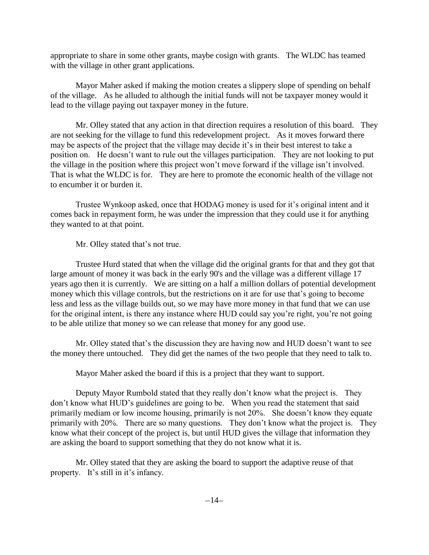appropriate to share in some other grants, maybe cosign with grants. The WLDC has teamed with the village in other grant applications.

Mayor Maher asked if making the motion creates a slippery slope of spending on behalf of the village. As he alluded to although the initial funds will not be taxpayer money would it lead to the village paying out taxpayer money in the future.

Mr. Olley stated that any action in that direction requires a resolution of this board. They are not seeking for the village to fund this redevelopment project. As it moves forward there may be aspects of the project that the village may decide it's in their best interest to take a position on. He doesn't want to rule out the villages participation. They are not looking to put the village in the position where this project won't move forward if the village isn't involved. That is what the WLDC is for. They are here to promote the economic health of the village not to encumber it or burden it.

Trustee Wynkoop asked, once that HODAG money is used for it's original intent and it comes back in repayment form, he was under the impression that they could use it for anything they wanted to at that point.

Mr. Olley stated that's not true.

Trustee Hurd stated that when the village did the original grants for that and they got that large amount of money it was back in the early 90's and the village was a different village 17 years ago then it is currently. We are sitting on a half a million dollars of potential development money which this village controls, but the restrictions on it are for use that's going to become less and less as the village builds out, so we may have more money in that fund that we can use for the original intent, is there any instance where HUD could say you're right, you're not going to be able utilize that money so we can release that money for any good use.

Mr. Olley stated that's the discussion they are having now and HUD doesn't want to see the money there untouched. They did get the names of the two people that they need to talk to.

Mayor Maher asked the board if this is a project that they want to support.

Deputy Mayor Rumbold stated that they really don't know what the project is. They don't know what HUD's guidelines are going to be. When you read the statement that said primarily mediam or low income housing, primarily is not 20%. She doesn't know they equate primarily with 20%. There are so many questions. They don't know what the project is. They know what their concept of the project is, but until HUD gives the village that information they are asking the board to support something that they do not know what it is.

Mr. Olley stated that they are asking the board to support the adaptive reuse of that property. It's still in it's infancy.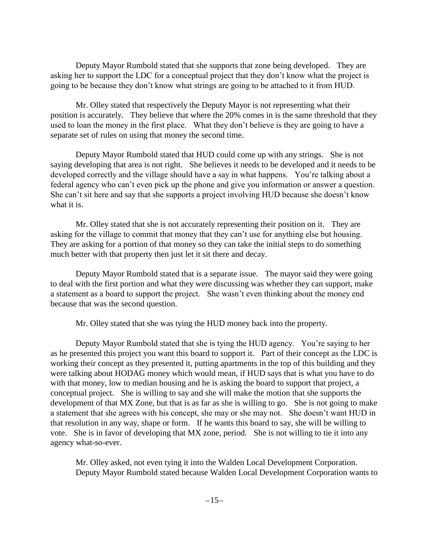Deputy Mayor Rumbold stated that she supports that zone being developed. They are asking her to support the LDC for a conceptual project that they don't know what the project is going to be because they don't know what strings are going to be attached to it from HUD.

Mr. Olley stated that respectively the Deputy Mayor is not representing what their position is accurately. They believe that where the 20% comes in is the same threshold that they used to loan the money in the first place. What they don't believe is they are going to have a separate set of rules on using that money the second time.

Deputy Mayor Rumbold stated that HUD could come up with any strings. She is not saying developing that area is not right. She believes it needs to be developed and it needs to be developed correctly and the village should have a say in what happens. You're talking about a federal agency who can't even pick up the phone and give you information or answer a question. She can't sit here and say that she supports a project involving HUD because she doesn't know what it is.

Mr. Olley stated that she is not accurately representing their position on it. They are asking for the village to commit that money that they can't use for anything else but housing. They are asking for a portion of that money so they can take the initial steps to do something much better with that property then just let it sit there and decay.

Deputy Mayor Rumbold stated that is a separate issue. The mayor said they were going to deal with the first portion and what they were discussing was whether they can support, make a statement as a board to support the project. She wasn't even thinking about the money end because that was the second question.

Mr. Olley stated that she was tying the HUD money back into the property.

Deputy Mayor Rumbold stated that she is tying the HUD agency. You're saying to her as he presented this project you want this board to support it. Part of their concept as the LDC is working their concept as they presented it, putting apartments in the top of this building and they were talking about HODAG money which would mean, if HUD says that is what you have to do with that money, low to median housing and he is asking the board to support that project, a conceptual project. She is willing to say and she will make the motion that she supports the development of that MX Zone, but that is as far as she is willing to go. She is not going to make a statement that she agrees with his concept, she may or she may not. She doesn't want HUD in that resolution in any way, shape or form. If he wants this board to say, she will be willing to vote. She is in favor of developing that MX zone, period. She is not willing to tie it into any agency what-so-ever.

Mr. Olley asked, not even tying it into the Walden Local Development Corporation. Deputy Mayor Rumbold stated because Walden Local Development Corporation wants to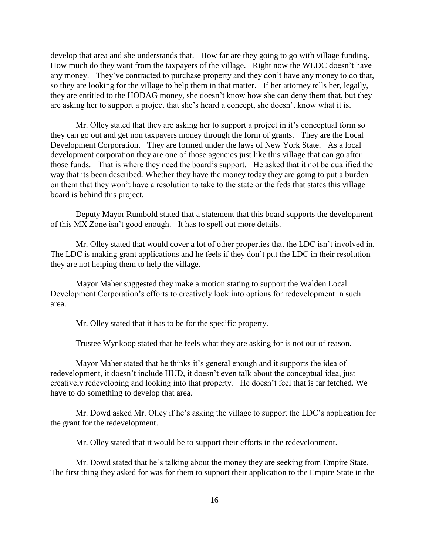develop that area and she understands that. How far are they going to go with village funding. How much do they want from the taxpayers of the village. Right now the WLDC doesn't have any money. They've contracted to purchase property and they don't have any money to do that, so they are looking for the village to help them in that matter. If her attorney tells her, legally, they are entitled to the HODAG money, she doesn't know how she can deny them that, but they are asking her to support a project that she's heard a concept, she doesn't know what it is.

Mr. Olley stated that they are asking her to support a project in it's conceptual form so they can go out and get non taxpayers money through the form of grants. They are the Local Development Corporation. They are formed under the laws of New York State. As a local development corporation they are one of those agencies just like this village that can go after those funds. That is where they need the board's support. He asked that it not be qualified the way that its been described. Whether they have the money today they are going to put a burden on them that they won't have a resolution to take to the state or the feds that states this village board is behind this project.

Deputy Mayor Rumbold stated that a statement that this board supports the development of this MX Zone isn't good enough. It has to spell out more details.

Mr. Olley stated that would cover a lot of other properties that the LDC isn't involved in. The LDC is making grant applications and he feels if they don't put the LDC in their resolution they are not helping them to help the village.

Mayor Maher suggested they make a motion stating to support the Walden Local Development Corporation's efforts to creatively look into options for redevelopment in such area.

Mr. Olley stated that it has to be for the specific property.

Trustee Wynkoop stated that he feels what they are asking for is not out of reason.

Mayor Maher stated that he thinks it's general enough and it supports the idea of redevelopment, it doesn't include HUD, it doesn't even talk about the conceptual idea, just creatively redeveloping and looking into that property. He doesn't feel that is far fetched. We have to do something to develop that area.

Mr. Dowd asked Mr. Olley if he's asking the village to support the LDC's application for the grant for the redevelopment.

Mr. Olley stated that it would be to support their efforts in the redevelopment.

Mr. Dowd stated that he's talking about the money they are seeking from Empire State. The first thing they asked for was for them to support their application to the Empire State in the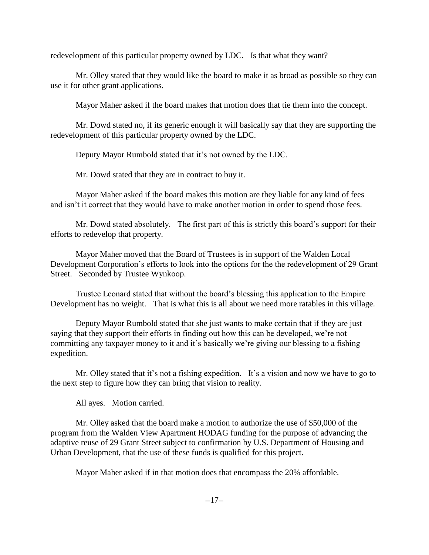redevelopment of this particular property owned by LDC. Is that what they want?

Mr. Olley stated that they would like the board to make it as broad as possible so they can use it for other grant applications.

Mayor Maher asked if the board makes that motion does that tie them into the concept.

Mr. Dowd stated no, if its generic enough it will basically say that they are supporting the redevelopment of this particular property owned by the LDC.

Deputy Mayor Rumbold stated that it's not owned by the LDC.

Mr. Dowd stated that they are in contract to buy it.

Mayor Maher asked if the board makes this motion are they liable for any kind of fees and isn't it correct that they would have to make another motion in order to spend those fees.

Mr. Dowd stated absolutely. The first part of this is strictly this board's support for their efforts to redevelop that property.

Mayor Maher moved that the Board of Trustees is in support of the Walden Local Development Corporation's efforts to look into the options for the the redevelopment of 29 Grant Street. Seconded by Trustee Wynkoop.

Trustee Leonard stated that without the board's blessing this application to the Empire Development has no weight. That is what this is all about we need more ratables in this village.

Deputy Mayor Rumbold stated that she just wants to make certain that if they are just saying that they support their efforts in finding out how this can be developed, we're not committing any taxpayer money to it and it's basically we're giving our blessing to a fishing expedition.

Mr. Olley stated that it's not a fishing expedition. It's a vision and now we have to go to the next step to figure how they can bring that vision to reality.

All ayes. Motion carried.

Mr. Olley asked that the board make a motion to authorize the use of \$50,000 of the program from the Walden View Apartment HODAG funding for the purpose of advancing the adaptive reuse of 29 Grant Street subject to confirmation by U.S. Department of Housing and Urban Development, that the use of these funds is qualified for this project.

Mayor Maher asked if in that motion does that encompass the 20% affordable.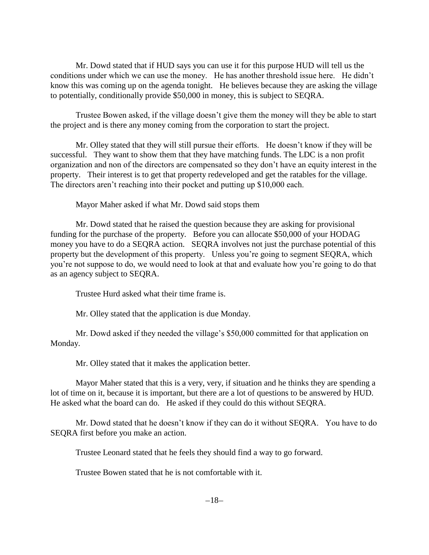Mr. Dowd stated that if HUD says you can use it for this purpose HUD will tell us the conditions under which we can use the money. He has another threshold issue here. He didn't know this was coming up on the agenda tonight. He believes because they are asking the village to potentially, conditionally provide \$50,000 in money, this is subject to SEQRA.

Trustee Bowen asked, if the village doesn't give them the money will they be able to start the project and is there any money coming from the corporation to start the project.

Mr. Olley stated that they will still pursue their efforts. He doesn't know if they will be successful. They want to show them that they have matching funds. The LDC is a non profit organization and non of the directors are compensated so they don't have an equity interest in the property. Their interest is to get that property redeveloped and get the ratables for the village. The directors aren't reaching into their pocket and putting up \$10,000 each.

Mayor Maher asked if what Mr. Dowd said stops them

Mr. Dowd stated that he raised the question because they are asking for provisional funding for the purchase of the property. Before you can allocate \$50,000 of your HODAG money you have to do a SEQRA action. SEQRA involves not just the purchase potential of this property but the development of this property. Unless you're going to segment SEQRA, which you're not suppose to do, we would need to look at that and evaluate how you're going to do that as an agency subject to SEQRA.

Trustee Hurd asked what their time frame is.

Mr. Olley stated that the application is due Monday.

Mr. Dowd asked if they needed the village's \$50,000 committed for that application on Monday.

Mr. Olley stated that it makes the application better.

Mayor Maher stated that this is a very, very, if situation and he thinks they are spending a lot of time on it, because it is important, but there are a lot of questions to be answered by HUD. He asked what the board can do. He asked if they could do this without SEQRA.

Mr. Dowd stated that he doesn't know if they can do it without SEQRA. You have to do SEQRA first before you make an action.

Trustee Leonard stated that he feels they should find a way to go forward.

Trustee Bowen stated that he is not comfortable with it.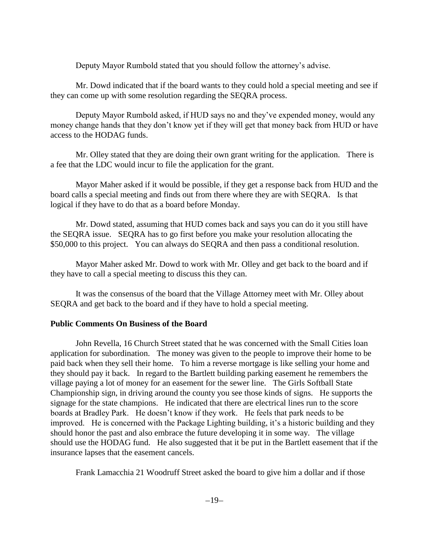Deputy Mayor Rumbold stated that you should follow the attorney's advise.

Mr. Dowd indicated that if the board wants to they could hold a special meeting and see if they can come up with some resolution regarding the SEQRA process.

Deputy Mayor Rumbold asked, if HUD says no and they've expended money, would any money change hands that they don't know yet if they will get that money back from HUD or have access to the HODAG funds.

Mr. Olley stated that they are doing their own grant writing for the application. There is a fee that the LDC would incur to file the application for the grant.

Mayor Maher asked if it would be possible, if they get a response back from HUD and the board calls a special meeting and finds out from there where they are with SEQRA. Is that logical if they have to do that as a board before Monday.

Mr. Dowd stated, assuming that HUD comes back and says you can do it you still have the SEQRA issue. SEQRA has to go first before you make your resolution allocating the \$50,000 to this project. You can always do SEQRA and then pass a conditional resolution.

Mayor Maher asked Mr. Dowd to work with Mr. Olley and get back to the board and if they have to call a special meeting to discuss this they can.

It was the consensus of the board that the Village Attorney meet with Mr. Olley about SEQRA and get back to the board and if they have to hold a special meeting.

## **Public Comments On Business of the Board**

John Revella, 16 Church Street stated that he was concerned with the Small Cities loan application for subordination. The money was given to the people to improve their home to be paid back when they sell their home. To him a reverse mortgage is like selling your home and they should pay it back. In regard to the Bartlett building parking easement he remembers the village paying a lot of money for an easement for the sewer line. The Girls Softball State Championship sign, in driving around the county you see those kinds of signs. He supports the signage for the state champions. He indicated that there are electrical lines run to the score boards at Bradley Park. He doesn't know if they work. He feels that park needs to be improved. He is concerned with the Package Lighting building, it's a historic building and they should honor the past and also embrace the future developing it in some way. The village should use the HODAG fund. He also suggested that it be put in the Bartlett easement that if the insurance lapses that the easement cancels.

Frank Lamacchia 21 Woodruff Street asked the board to give him a dollar and if those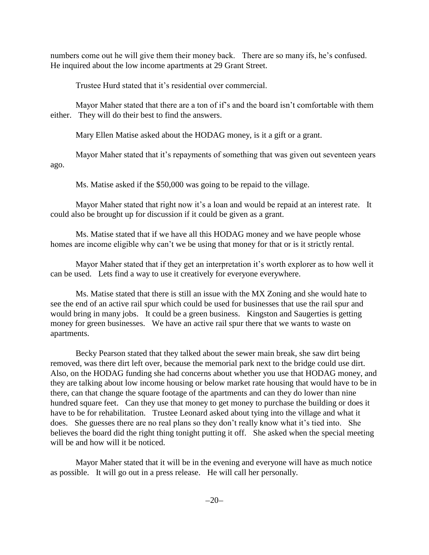numbers come out he will give them their money back. There are so many ifs, he's confused. He inquired about the low income apartments at 29 Grant Street.

Trustee Hurd stated that it's residential over commercial.

Mayor Maher stated that there are a ton of if's and the board isn't comfortable with them either. They will do their best to find the answers.

Mary Ellen Matise asked about the HODAG money, is it a gift or a grant.

Mayor Maher stated that it's repayments of something that was given out seventeen years ago.

Ms. Matise asked if the \$50,000 was going to be repaid to the village.

Mayor Maher stated that right now it's a loan and would be repaid at an interest rate. It could also be brought up for discussion if it could be given as a grant.

Ms. Matise stated that if we have all this HODAG money and we have people whose homes are income eligible why can't we be using that money for that or is it strictly rental.

Mayor Maher stated that if they get an interpretation it's worth explorer as to how well it can be used. Lets find a way to use it creatively for everyone everywhere.

Ms. Matise stated that there is still an issue with the MX Zoning and she would hate to see the end of an active rail spur which could be used for businesses that use the rail spur and would bring in many jobs. It could be a green business. Kingston and Saugerties is getting money for green businesses. We have an active rail spur there that we wants to waste on apartments.

Becky Pearson stated that they talked about the sewer main break, she saw dirt being removed, was there dirt left over, because the memorial park next to the bridge could use dirt. Also, on the HODAG funding she had concerns about whether you use that HODAG money, and they are talking about low income housing or below market rate housing that would have to be in there, can that change the square footage of the apartments and can they do lower than nine hundred square feet. Can they use that money to get money to purchase the building or does it have to be for rehabilitation. Trustee Leonard asked about tying into the village and what it does. She guesses there are no real plans so they don't really know what it's tied into. She believes the board did the right thing tonight putting it off. She asked when the special meeting will be and how will it be noticed.

Mayor Maher stated that it will be in the evening and everyone will have as much notice as possible. It will go out in a press release. He will call her personally.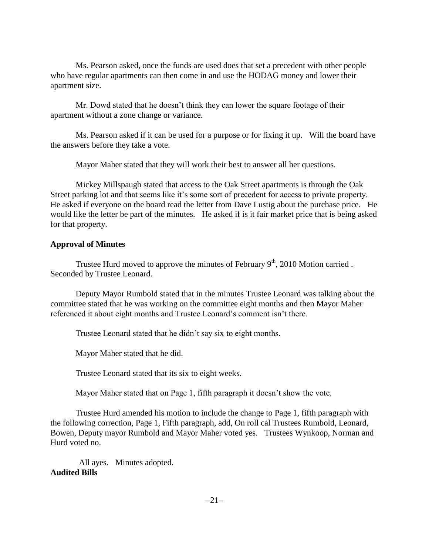Ms. Pearson asked, once the funds are used does that set a precedent with other people who have regular apartments can then come in and use the HODAG money and lower their apartment size.

Mr. Dowd stated that he doesn't think they can lower the square footage of their apartment without a zone change or variance.

Ms. Pearson asked if it can be used for a purpose or for fixing it up. Will the board have the answers before they take a vote.

Mayor Maher stated that they will work their best to answer all her questions.

Mickey Millspaugh stated that access to the Oak Street apartments is through the Oak Street parking lot and that seems like it's some sort of precedent for access to private property. He asked if everyone on the board read the letter from Dave Lustig about the purchase price. He would like the letter be part of the minutes. He asked if is it fair market price that is being asked for that property.

# **Approval of Minutes**

Trustee Hurd moved to approve the minutes of February  $9<sup>th</sup>$ , 2010 Motion carried. Seconded by Trustee Leonard.

Deputy Mayor Rumbold stated that in the minutes Trustee Leonard was talking about the committee stated that he was working on the committee eight months and then Mayor Maher referenced it about eight months and Trustee Leonard's comment isn't there.

Trustee Leonard stated that he didn't say six to eight months.

Mayor Maher stated that he did.

Trustee Leonard stated that its six to eight weeks.

Mayor Maher stated that on Page 1, fifth paragraph it doesn't show the vote.

Trustee Hurd amended his motion to include the change to Page 1, fifth paragraph with the following correction, Page 1, Fifth paragraph, add, On roll cal Trustees Rumbold, Leonard, Bowen, Deputy mayor Rumbold and Mayor Maher voted yes. Trustees Wynkoop, Norman and Hurd voted no.

All ayes. Minutes adopted. **Audited Bills**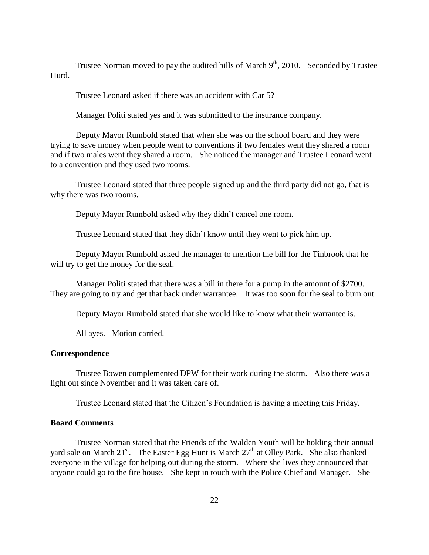Trustee Norman moved to pay the audited bills of March  $9<sup>th</sup>$ , 2010. Seconded by Trustee Hurd.

Trustee Leonard asked if there was an accident with Car 5?

Manager Politi stated yes and it was submitted to the insurance company.

Deputy Mayor Rumbold stated that when she was on the school board and they were trying to save money when people went to conventions if two females went they shared a room and if two males went they shared a room. She noticed the manager and Trustee Leonard went to a convention and they used two rooms.

Trustee Leonard stated that three people signed up and the third party did not go, that is why there was two rooms.

Deputy Mayor Rumbold asked why they didn't cancel one room.

Trustee Leonard stated that they didn't know until they went to pick him up.

Deputy Mayor Rumbold asked the manager to mention the bill for the Tinbrook that he will try to get the money for the seal.

Manager Politi stated that there was a bill in there for a pump in the amount of \$2700. They are going to try and get that back under warrantee. It was too soon for the seal to burn out.

Deputy Mayor Rumbold stated that she would like to know what their warrantee is.

All ayes. Motion carried.

#### **Correspondence**

Trustee Bowen complemented DPW for their work during the storm. Also there was a light out since November and it was taken care of.

Trustee Leonard stated that the Citizen's Foundation is having a meeting this Friday.

#### **Board Comments**

Trustee Norman stated that the Friends of the Walden Youth will be holding their annual yard sale on March 21<sup>st</sup>. The Easter Egg Hunt is March  $27<sup>th</sup>$  at Olley Park. She also thanked everyone in the village for helping out during the storm. Where she lives they announced that anyone could go to the fire house. She kept in touch with the Police Chief and Manager. She